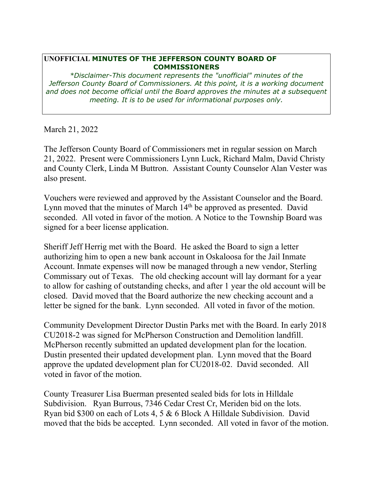## **UNOFFICIAL MINUTES OF THE JEFFERSON COUNTY BOARD OF COMMISSIONERS**

*\*Disclaimer-This document represents the "unofficial" minutes of the Jefferson County Board of Commissioners. At this point, it is a working document and does not become official until the Board approves the minutes at a subsequent meeting. It is to be used for informational purposes only.* 

March 21, 2022

The Jefferson County Board of Commissioners met in regular session on March 21, 2022. Present were Commissioners Lynn Luck, Richard Malm, David Christy and County Clerk, Linda M Buttron. Assistant County Counselor Alan Vester was also present.

Vouchers were reviewed and approved by the Assistant Counselor and the Board. Lynn moved that the minutes of March 14<sup>th</sup> be approved as presented. David seconded. All voted in favor of the motion. A Notice to the Township Board was signed for a beer license application.

Sheriff Jeff Herrig met with the Board. He asked the Board to sign a letter authorizing him to open a new bank account in Oskaloosa for the Jail Inmate Account. Inmate expenses will now be managed through a new vendor, Sterling Commissary out of Texas. The old checking account will lay dormant for a year to allow for cashing of outstanding checks, and after 1 year the old account will be closed. David moved that the Board authorize the new checking account and a letter be signed for the bank. Lynn seconded. All voted in favor of the motion.

Community Development Director Dustin Parks met with the Board. In early 2018 CU2018-2 was signed for McPherson Construction and Demolition landfill. McPherson recently submitted an updated development plan for the location. Dustin presented their updated development plan. Lynn moved that the Board approve the updated development plan for CU2018-02. David seconded. All voted in favor of the motion.

County Treasurer Lisa Buerman presented sealed bids for lots in Hilldale Subdivision. Ryan Burrous, 7346 Cedar Crest Cr, Meriden bid on the lots. Ryan bid \$300 on each of Lots 4, 5 & 6 Block A Hilldale Subdivision. David moved that the bids be accepted. Lynn seconded. All voted in favor of the motion.